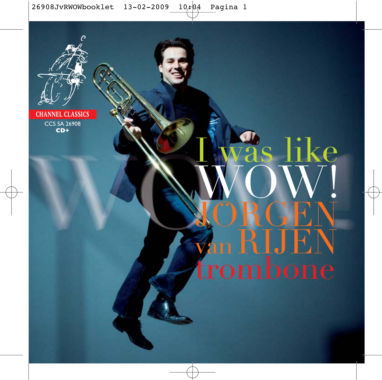

CCS SA 26908 **CD+**

# 's like H rombone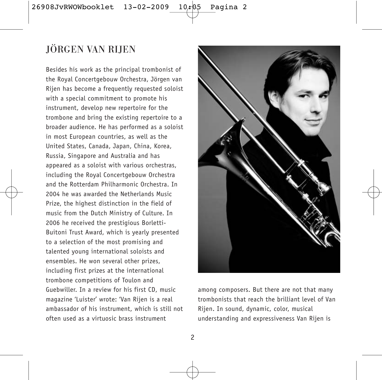### JÖRGEN VAN RIJEN

Besides his work as the principal trombonist of the Royal Concertgebouw Orchestra, Jörgen van Rijen has become a frequently requested soloist with a special commitment to promote his instrument, develop new repertoire for the trombone and bring the existing repertoire to a broader audience. He has performed as a soloist in most European countries, as well as the United States, Canada, Japan, China, Korea, Russia, Singapore and Australia and has appeared as a soloist with various orchestras, including the Royal Concertgebouw Orchestra and the Rotterdam Philharmonic Orchestra. In 2004 he was awarded the Netherlands Music Prize, the highest distinction in the field of music from the Dutch Ministry of Culture. In 2006 he received the prestigious Borletti-Buitoni Trust Award, which is yearly presented to a selection of the most promising and talented young international soloists and ensembles. He won several other prizes, including first prizes at the international trombone competitions of Toulon and Guebwiller. In a review for his first CD, music magazine 'Luister' wrote: 'Van Rijen is a real ambassador of his instrument, which is still not often used as a virtuosic brass instrument



among composers. But there are not that many trombonists that reach the brilliant level of Van Rijen. In sound, dynamic, color, musical understanding and expressiveness Van Rijen is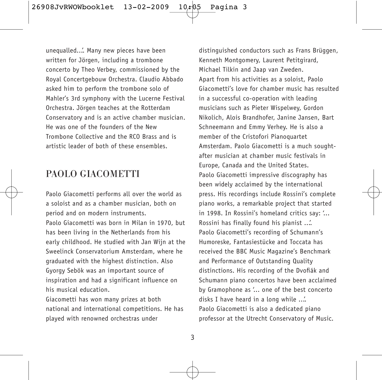unequalled...'. Many new pieces have been written for Jörgen, including a trombone concerto by Theo Verbey, commissioned by the Royal Concertgebouw Orchestra. Claudio Abbado asked him to perform the trombone solo of Mahler's 3rd symphony with the Lucerne Festival Orchestra. Jörgen teaches at the Rotterdam Conservatory and is an active chamber musician. He was one of the founders of the New Trombone Collective and the RCO Brass and is artistic leader of hoth of these ensembles

#### PAOLO GIACOMETTI

Paolo Giacometti performs all over the world as a soloist and as a chamber musician, both on period and on modern instruments. Paolo Giacometti was born in Milan in 1970, but has been living in the Netherlands from his early childhood. He studied with Jan Wijn at the Sweelinck Conservatorium Amsterdam, where he graduated with the highest distinction. Also Gyorgy Sebök was an important source of inspiration and had a significant influence on his musical education.

Giacometti has won many prizes at both national and international competitions. He has played with renowned orchestras under

distinguished conductors such as Frans Brüggen, Kenneth Montgomery, Laurent Petitgirard, Michael Tilkin and Jaap van Zweden. Apart from his activities as a soloist, Paolo Giacometti's love for chamber music has resulted in a successful co-operation with leading musicians such as Pieter Wispelwey, Gordon Nikolich, Alois Brandhofer, Janine Jansen, Bart Schneemann and Emmy Verhey. He is also a member of the Cristofori Pianoquartet Amsterdam. Paolo Giacometti is a much soughtafter musician at chamber music festivals in Europe, Canada and the United States. Paolo Giacometti impressive discography has been widely acclaimed by the international press. His recordings include Rossini's complete piano works, a remarkable project that started in 1998. In Rossini's homeland critics say: '... Rossini has finally found his pianist ...'. Paolo Giacometti's recording of Schumann's Humoreske, Fantasiestücke and Toccata has received the BBC Music Magazine's Benchmark and Performance of Outstanding Quality distinctions. His recording of the Dvofiák and Schumann piano concertos have been acclaimed by Gramophone as '... one of the best concerto disks I have heard in a long while ... Paolo Giacometti is also a dedicated piano professor at the Utrecht Conservatory of Music.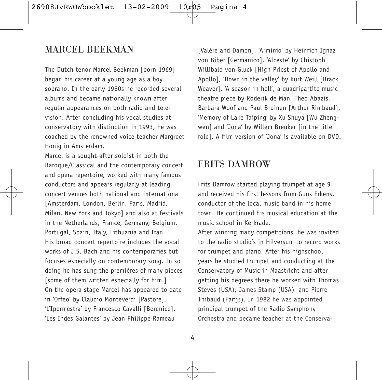#### MARCEL BEEKMAN

The Dutch tenor Marcel Beekman [born 1969] began his career at a young age as a boy soprano. In the early 1980s he recorded several albums and became nationally known after regular appearances on both radio and television. After concluding his vocal studies at conservatory with distinction in 1993, he was coached by the renowned voice teacher Margreet Honig in Amsterdam.

Marcel is a sought-after soloist in both the Baroque/Classical and the contemporary concert and opera repertoire, worked with many famous conductors and appears regularly at leading concert venues both national and international [Amsterdam, London, Berlin, Paris, Madrid, Milan, New York and Tokyo] and also at festivals in the Netherlands, France, Germany, Belgium, Portugal, Spain, Italy, Lithuania and Iran. His broad concert repertoire includes the vocal works of J.S. Bach and his contemporaries but focuses especially on contemporary song. In so doing he has sung the premières of many pieces [some of them written especially for him.] On the opera stage Marcel has appeared to date in 'Orfeo' by Claudio Monteverdi [Pastore], 'L'Ipermestra' by Francesco Cavalli [Berenice], 'Les Indes Galantes' by Jean Philippe Rameau

[Valère and Damon], 'Arminio' by Heinrich Ignaz von Biber [Germanico], 'Alceste' by Chistoph Willibald von Gluck [High Priest of Apollo and Apollo], 'Down in the valley' by Kurt Weill [Brack Weaver], 'A season in hell', a quadripartite music theatre piece by Roderik de Man, Theo Abazis, Barbara Woof and Paul Bruinen [Arthur Rimbaud], 'Memory of Lake Taiping' by Xu Shuya [Wu Zhengwen] and 'Jona' by Willem Breuker [in the title role]. A film version of 'Jona' is available on DVD.

#### FRITS DAMROW

Frits Damrow started playing trumpet at age 9 and received his first lessons from Guus Erkens, conductor of the local music band in his home town. He continued his musical education at the music school in Kerkrade.

After winning many competitions, he was invited to the radio studio's in Hilversum to record works for trumpet and piano. After his highschool years he studied trumpet and conducting at the Conservatory of Music in Maastricht and after getting his degrees there he worked with Thomas Steves (USA), James Stamp (USA) and Pierre Thibaud (Parijs). In 1982 he was appointed principal trumpet of the Radio Symphony Orchestra and became teacher at the Conserva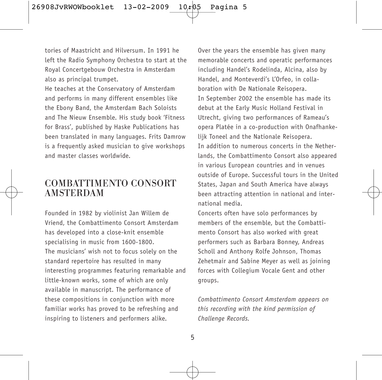tories of Maastricht and Hilversum. In 1991 he left the Radio Symphony Orchestra to start at the Royal Concertgebouw Orchestra in Amsterdam also as principal trumpet.

He teaches at the Conservatory of Amsterdam and performs in many different ensembles like the Ebony Band, the Amsterdam Bach Soloists and The Nieuw Ensemble. His study book 'Fitness for Brass', published by Haske Publications has been translated in many languages. Frits Damrow is a frequently asked musician to give workshops and master classes worldwide.

#### COMBATTIMENTO CONSORT AMSTERDAM

Founded in 1982 by violinist Jan Willem de Vriend, the Combattimento Consort Amsterdam has developed into a close-knit ensemble specialising in music from 1600-1800. The musicians' wish not to focus solely on the standard repertoire has resulted in many interesting programmes featuring remarkable and little-known works, some of which are only available in manuscript. The performance of these compositions in conjunction with more familiar works has proved to be refreshing and inspiring to listeners and performers alike.

Over the years the ensemble has given many memorable concerts and operatic performances including Handel's Rodelinda, Alcina, also by Handel, and Monteverdi's L'Orfeo, in collaboration with De Nationale Reisopera. In September 2002 the ensemble has made its debut at the Early Music Holland Festival in Utrecht, giving two performances of Rameau's opera Platée in a co-production with Onafhankelijk Toneel and the Nationale Reisopera. In addition to numerous concerts in the Netherlands, the Combattimento Consort also appeared in various European countries and in venues outside of Europe. Successful tours in the United States, Japan and South America have always been attracting attention in national and international media.

Concerts often have solo performances by members of the ensemble, but the Combattimento Consort has also worked with great performers such as Barbara Bonney, Andreas Scholl and Anthony Rolfe Johnson, Thomas Zehetmair and Sabine Meyer as well as joining forces with Collegium Vocale Gent and other groups.

*Combattimento Consort Amsterdam appears on this recording with the kind permission of Challenge Records.*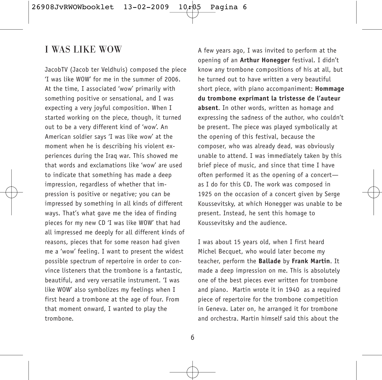#### I WAS LIKE WOW

JacobTV (Jacob ter Veldhuis) composed the piece 'I was like WOW' for me in the summer of 2006. At the time, I associated 'wow' primarily with something positive or sensational, and I was expecting a very joyful composition. When I started working on the piece, though, it turned out to be a very different kind of 'wow'. An American soldier says 'I was like wow' at the moment when he is describing his violent experiences during the Iraq war. This showed me that words and exclamations like 'wow' are used to indicate that something has made a deep impression, regardless of whether that impression is positive or negative; you can be impressed by something in all kinds of different ways. That's what gave me the idea of finding pieces for my new CD 'I was like WOW' that had all impressed me deeply for all different kinds of reasons, pieces that for some reason had given me a 'wow' feeling. I want to present the widest possible spectrum of repertoire in order to convince listeners that the trombone is a fantastic, beautiful, and very versatile instrument. 'I was like WOW' also symbolizes my feelings when I first heard a trombone at the age of four. From that moment onward, I wanted to play the trombone.

A few years ago, I was invited to perform at the opening of an **Arthur Honegger** festival. I didn't know any trombone compositions of his at all, but he turned out to have written a very beautiful short piece, with piano accompaniment: **Hommage du trombone exprimant la tristesse de l'auteur absent**. In other words, written as homage and expressing the sadness of the author, who couldn't be present. The piece was played symbolically at the opening of this festival, because the composer, who was already dead, was obviously unable to attend. I was immediately taken by this brief piece of music, and since that time I have often performed it as the opening of a concert as I do for this CD. The work was composed in 1925 on the occasion of a concert given by Serge Koussevitsky, at which Honegger was unable to be present. Instead, he sent this homage to Koussevitsky and the audience.

I was about 15 years old, when I first heard Michel Becquet, who would later become my teacher, perform the **Ballade** by **Frank Martin**. It made a deep impression on me. This is absolutely one of the best pieces ever written for trombone and piano. Martin wrote it in 1940 as a required piece of repertoire for the trombone competition in Geneva. Later on, he arranged it for trombone and orchestra. Martin himself said this about the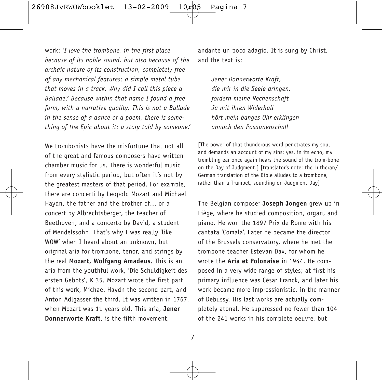work: *'I love the trombone, in the first place because of its noble sound, but also because of the archaic nature of its construction, completely free of any mechanical features: a simple metal tube that moves in a track. Why did I call this piece a Ballade? Because within that name I found a free form, with a narrative quality. This is not a Ballade in the sense of a dance or a poem, there is something of the Epic about it: a story told by someone.'*

We trombonists have the misfortune that not all of the great and famous composers have written chamber music for us. There is wonderful music from every stylistic period, but often it's not by the greatest masters of that period. For example, there are concerti by Leopold Mozart and Michael Haydn, the father and the brother of... or a concert by Albrechtsberger, the teacher of Beethoven, and a concerto by David, a student of Mendelssohn. That's why I was really 'like WOW' when I heard about an unknown, but original aria for trombone, tenor, and strings by the real **Mozart, Wolfgang Amadeus**. This is an aria from the youthful work, 'Die Schuldigkeit des ersten Gebots', K 35. Mozart wrote the first part of this work, Michael Haydn the second part, and Anton Adlgasser the third. It was written in 1767, when Mozart was 11 years old. This aria, **Jener Donnerworte Kraft**, is the fifth movement,

andante un poco adagio. It is sung by Christ, and the text is:

*Jener Donnerworte Kraft, die mir in die Seele dringen, fordern meine Rechenschaft Ja mit ihren Widerhall hört mein banges Ohr erklingen annoch den Posaunenschall*

[The power of that thunderous word penetrates my soul and demands an account of my sins: yes, in its echo, my trembling ear once again hears the sound of the trom-bone on the Day of Judgment.] [translator's note: the Lutheran/ German translation of the Bible alludes to a trombone, rather than a Trumpet, sounding on Judgment Day]

The Belgian composer **Joseph Jongen** grew up in Liège, where he studied composition, organ, and piano. He won the 1897 Prix de Rome with his cantata 'Comala'. Later he became the director of the Brussels conservatory, where he met the trombone teacher Estevan Dax, for whom he wrote the **Aria et Polonaise** in 1944. He composed in a very wide range of styles; at first his primary influence was César Franck, and later his work became more impressionistic, in the manner of Debussy. His last works are actually completely atonal. He suppressed no fewer than 104 of the 241 works in his complete oeuvre, but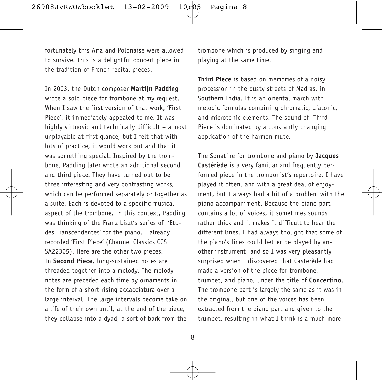fortunately this Aria and Polonaise were allowed to survive. This is a delightful concert piece in the tradition of French recital pieces.

In 2003, the Dutch composer **Martijn Padding** wrote a solo piece for trombone at my request. When I saw the first version of that work, 'First Piece', it immediately appealed to me. It was highly virtuosic and technically difficult – almost unplayable at first glance, but I felt that with lots of practice, it would work out and that it was something special. Inspired by the trombone, Padding later wrote an additional second and third piece. They have turned out to be three interesting and very contrasting works, which can be performed separately or together as a suite. Each is devoted to a specific musical aspect of the trombone. In this context, Padding was thinking of the Franz Liszt's series of 'Etudes Transcendentes' for the piano. I already recorded 'First Piece' (Channel Classics CCS SA22305). Here are the other two pieces. In **Second Piece**, long-sustained notes are threaded together into a melody. The melody notes are preceded each time by ornaments in the form of a short rising accacciatura over a large interval. The large intervals become take on a life of their own until, at the end of the piece, they collapse into a dyad, a sort of bark from the trombone which is produced by singing and playing at the same time.

**Third Piece** is based on memories of a noisy procession in the dusty streets of Madras, in Southern India. It is an oriental march with melodic formulas combining chromatic, diatonic, and microtonic elements. The sound of Third Piece is dominated by a constantly changing application of the harmon mute.

The Sonatine for trombone and piano by **Jacques Castérède** is a very familiar and frequently performed piece in the trombonist's repertoire. I have played it often, and with a great deal of enjoyment, but I always had a bit of a problem with the piano accompaniment. Because the piano part contains a lot of voices, it sometimes sounds rather thick and it makes it difficult to hear the different lines. I had always thought that some of the piano's lines could better be played by another instrument, and so I was very pleasantly surprised when I discovered that Castérède had made a version of the piece for trombone, trumpet, and piano, under the title of **Concertino**. The trombone part is largely the same as it was in the original, but one of the voices has been extracted from the piano part and given to the trumpet, resulting in what I think is a much more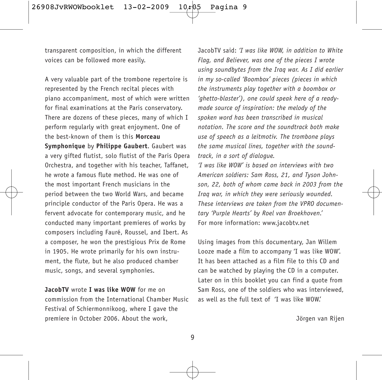transparent composition, in which the different voices can be followed more easily.

A very valuable part of the trombone repertoire is represented by the French recital pieces with piano accompaniment, most of which were written for final examinations at the Paris conservatory. There are dozens of these pieces, many of which I perform regularly with great enjoyment. One of the best-known of them is this **Morceau Symphonique** by **Philippe Gaubert**. Gaubert was a very gifted flutist, solo flutist of the Paris Opera Orchestra, and together with his teacher, Taffanet, he wrote a famous flute method. He was one of the most important French musicians in the period between the two World Wars, and became principle conductor of the Paris Opera. He was a fervent advocate for contemporary music, and he conducted many important premieres of works by composers including Fauré, Roussel, and Ibert. As a composer, he won the prestigious Prix de Rome in 1905. He wrote primarily for his own instrument, the flute, but he also produced chamber music, songs, and several symphonies.

**JacobTV** wrote **I was like WOW** for me on commission from the International Chamber Music Festival of Schiermonnikoog, where I gave the premiere in October 2006. About the work,

JacobTV said: *'I was like WOW, in addition to White Flag, and Believer, was one of the pieces I wrote using soundbytes from the Iraq war. As I did earlier in my so-called 'Boombox' pieces (pieces in which the instruments play together with a boombox or 'ghetto-blaster'), one could speak here of a readymade source of inspiration: the melody of the spoken word has been transcribed in musical notation. The score and the soundtrack both make use of speech as a leitmotiv. The trombone plays the same musical lines, together with the soundtrack, in a sort of dialogue.*

*'I was like WOW' is based on interviews with two American soldiers: Sam Ross, 21, and Tyson Johnson, 22, both of whom came back in 2003 from the Iraq war, in which they were seriously wounded. These interviews are taken from the VPRO documentary 'Purple Hearts' by Roel van Broekhoven.'* For more information: www.jacobtv.net

Using images from this documentary, Jan Willem Looze made a film to accompany 'I was like WOW'. It has been attached as a film file to this CD and can be watched by playing the CD in a computer. Later on in this booklet you can find a quote from Sam Ross, one of the soldiers who was interviewed, as well as the full text of 'I was like WOW.'

Jörgen van Rijen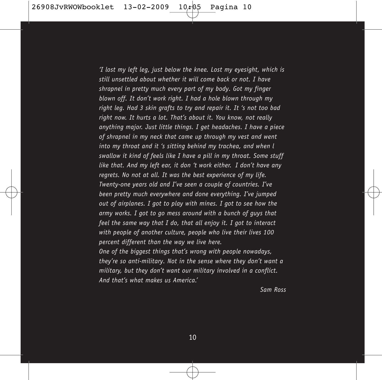*'I lost my left leg, just below the knee. Lost my eyesight, which is still unsettled about whether it will come back or not. I have shrapnel in pretty much every part of my body. Got my finger blown off. It don't work right. I had a hole blown through my right leg. Had 3 skin grafts to try and repair it. It 's not too bad right now. It hurts a lot. That's about it. You know, not really anything major. Just little things. I get headaches. I have a piece of shrapnel in my neck that came up through my vest and went into my throat and it 's sitting behind my trachea, and when l swallow it kind of feels like I have a pill in my throat. Some stuff like that. And my left ear, it don 't work either. I don't have any regrets. No not at all. It was the best experience of my life. Twenty-one years old and I've seen a couple of countries. I've been pretty much everywhere and done everything. I've jumped out of airplanes. I got to play with mines. I got to see how the army works. I got to go mess around with a bunch of guys that feel the same way that I do, that all enjoy it. I got to interact with people of another culture, people who live their lives 100 percent different than the way we live here. One of the biggest things that's wrong with people nowadays, they're so anti-military. Not in the sense where they don't want a military, but they don't want our military involved in a conflict. And that's what makes us America.'*

*Sam Ross*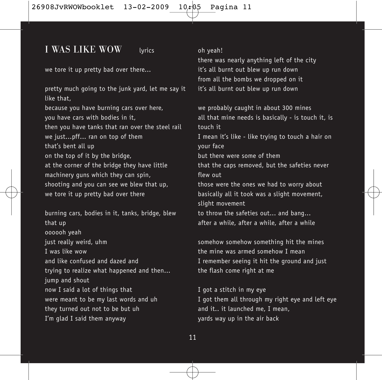#### I WAS LIKE WOW lyrics

we tore it up pretty bad over there...

pretty much going to the junk yard, let me say it like that, because you have burning cars over here, you have cars with bodies in it, then you have tanks that ran over the steel rail we just...pff... ran on top of them that's bent all up on the top of it by the bridge, at the corner of the bridge they have little machinery guns which they can spin, shooting and you can see we blew that up, we tore it up pretty bad over there

burning cars, bodies in it, tanks, bridge, blew that up oooooh yeah just really weird, uhm I was like wow and like confused and dazed and trying to realize what happened and then... jump and shout now I said a lot of things that were meant to be my last words and uh they turned out not to be but uh I'm glad I said them anyway

oh yeah!

there was nearly anything left of the city it's all burnt out blew up run down from all the bombs we dropped on it it's all burnt out blew up run down

we probably caught in about 300 mines all that mine needs is basically - is touch it, is touch it I mean it's like - like trying to touch a hair on your face but there were some of them that the caps removed, but the safeties never flew out those were the ones we had to worry about basically all it took was a slight movement, slight movement to throw the safeties out... and bang... after a while, after a while, after a while

somehow somehow something hit the mines the mine was armed somehow I mean I remember seeing it hit the ground and just the flash come right at me

I got a stitch in my eye I got them all through my right eye and left eye and it.. it launched me, I mean, yards way up in the air back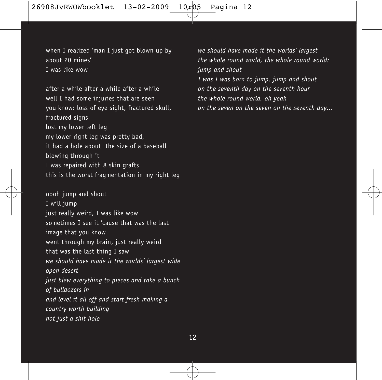when I realized 'man I just got blown up by about 20 mines' I was like wow

after a while after a while after a while well I had some injuries that are seen you know: loss of eye sight, fractured skull, fractured signs lost my lower left leg my lower right leg was pretty bad, it had a hole about the size of a baseball blowing through it I was repaired with 8 skin grafts this is the worst fragmentation in my right leg

oooh jump and shout I will jump just really weird, I was like wow sometimes I see it 'cause that was the last image that you know went through my brain, just really weird that was the last thing I saw *we should have made it the worlds' largest wide open desert just blew everything to pieces and take a bunch of bulldozers in and level it all off and start fresh making a country worth building not just a shit hole*

*we should have made it the worlds' largest the whole round world, the whole round world: jump and shout I was I was born to jump, jump and shout on the seventh day on the seventh hour the whole round world, oh yeah on the seven on the seven on the seventh day...*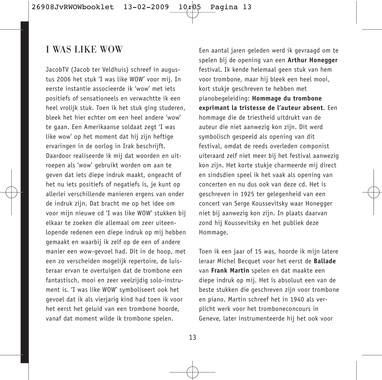#### I WAS LIKE WOW

JacobTV (Jacob ter Veldhuis) schreef in augustus 2006 het stuk 'I was like WOW' voor mij. In eerste instantie associeerde ik 'wow' met iets positiefs of sensationeels en verwachtte ik een heel vrolijk stuk. Toen ik het stuk ging studeren, bleek het hier echter om een heel andere 'wow' te gaan. Een Amerikaanse soldaat zegt 'I was like wow' op het moment dat hij zijn heftige ervaringen in de oorlog in Irak beschrijft. Daardoor realiseerde ik mij dat woorden en uitroepen als 'wow' gebruikt worden om aan te geven dat iets diepe indruk maakt, ongeacht of het nu iets positiefs of negatiefs is, je kunt op allerlei verschillende manieren ergens van onder de indruk zijn. Dat bracht me op het idee om voor mijn nieuwe cd 'I was like WOW' stukken bij elkaar te zoeken die allemaal om zeer uiteenlopende redenen een diepe indruk op mij hebben gemaakt en waarbij ik zelf op de een of andere manier een wow-gevoel had. Dit in de hoop, met een zo verscheiden mogelijk repertoire, de luisteraar ervan te overtuigen dat de trombone een fantastisch, mooi en zeer veelzijdig solo-instrument is. 'I was like WOW' symboliseert ook het gevoel dat ik als vierjarig kind had toen ik voor het eerst het geluid van een trombone hoorde, vanaf dat moment wilde ik trombone spelen.

festival. Ik kende helemaal geen stuk van hem voor trombone, maar hij bleek een heel mooi, kort stukje geschreven te hebben met pianobegeleiding: **Hommage du trombone exprimant la tristesse de l'auteur absent**. Een hommage die de triestheid uitdrukt van de auteur die niet aanwezig kon zijn. Dit werd symbolisch gespeeld als opening van dit festival, omdat de reeds overleden componist uiteraard zelf niet meer bij het festival aanwezig kon zijn. Het korte stukje charmeerde mij direct en sindsdien speel ik het vaak als opening van concerten en nu dus ook van deze cd. Het is geschreven in 1925 ter gelegenheid van een concert van Serge Koussevitsky waar Honegger niet bij aanwezig kon zijn. In plaats daarvan zond hij Koussevitsky en het publiek deze Hommage. Toen ik een jaar of 15 was, hoorde ik mijn latere leraar Michel Becquet voor het eerst de **Ballade** van **Frank Martin** spelen en dat maakte een diepe indruk op mij. Het is absoluut een van de beste stukken die geschreven zijn voor trombone

en piano. Martin schreef het in 1940 als verplicht werk voor het tromboneconcours in Geneve, later instrumenteerde hij het ook voor

Een aantal jaren geleden werd ik gevraagd om te spelen bij de opening van een **Arthur Honegger**

13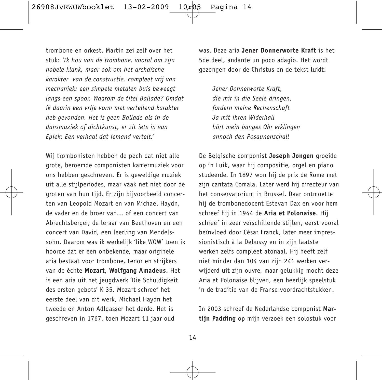trombone en orkest. Martin zei zelf over het stuk: *'Ik hou van de trombone, vooral om zijn nobele klank, maar ook om het archaïsche karakter van de constructie, compleet vrij van mechaniek: een simpele metalen buis beweegt langs een spoor. Waarom de titel Ballade? Omdat ik daarin een vrije vorm met vertellend karakter heb gevonden. Het is geen Ballade als in de dansmuziek of dichtkunst, er zit iets in van Epiek: Een verhaal dat iemand vertelt.'*

Wij trombonisten hebben de pech dat niet alle grote, beroemde componisten kamermuziek voor ons hebben geschreven. Er is geweldige muziek uit alle stijlperiodes, maar vaak net niet door de groten van hun tijd. Er zijn bijvoorbeeld concerten van Leopold Mozart en van Michael Haydn, de vader en de broer van... of een concert van Abrechtsberger, de leraar van Beethoven en een concert van David, een leerling van Mendelssohn. Daarom was ik werkelijk 'like WOW' toen ik hoorde dat er een onbekende, maar originele aria bestaat voor trombone, tenor en strijkers van de échte **Mozart, Wolfgang Amadeus**. Het is een aria uit het jeugdwerk 'Die Schuldigkeit des ersten gebots' K 35. Mozart schreef het eerste deel van dit werk, Michael Haydn het tweede en Anton Adlgasser het derde. Het is geschreven in 1767, toen Mozart 11 jaar oud

was. Deze aria **Jener Donnerworte Kraft** is het 5de deel, andante un poco adagio. Het wordt gezongen door de Christus en de tekst luidt:

*Jener Donnerworte Kraft, die mir in die Seele dringen, fordern meine Rechenschaft Ja mit ihren Widerhall hört mein banges Ohr erklingen annoch den Posaunenschall*

De Belgische componist **Joseph Jongen** groeide op in Luik, waar hij compositie, orgel en piano studeerde. In 1897 won hij de prix de Rome met zijn cantata Comala. Later werd hij directeur van het conservatorium in Brussel. Daar ontmoette hij de trombonedocent Estevan Dax en voor hem schreef hij in 1944 de **Aria et Polonaise**. Hij schreef in zeer verschillende stijlen, eerst vooral beïnvloed door César Franck, later meer impressionistisch à la Debussy en in zijn laatste werken zelfs compleet atonaal. Hij heeft zelf niet minder dan 104 van zijn 241 werken verwijderd uit zijn ouvre, maar gelukkig mocht deze Aria et Polonaise blijven, een heerlijk speelstuk in de traditie van de Franse voordrachtstukken.

In 2003 schreef de Nederlandse componist **Martijn Padding** op mijn verzoek een solostuk voor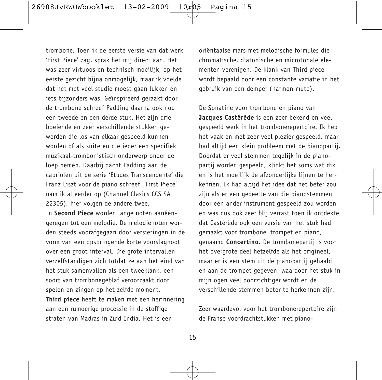trombone. Toen ik de eerste versie van dat werk 'First Piece' zag, sprak het mij direct aan. Het was zeer virtuoos en technisch moeilijk, op het eerste gezicht bijna onmogelijk, maar ik voelde dat het met veel studie moest gaan lukken en iets bijzonders was. Geïnspireerd geraakt door de trombone schreef Padding daarna ook nog een tweede en een derde stuk. Het zijn drie boeiende en zeer verschillende stukken geworden die los van elkaar gespeeld kunnen worden of als suite en die ieder een specifiek muzikaal-trombonistisch onderwerp onder de loep nemen. Daarbij dacht Padding aan de capriolen uit de serie 'Etudes Transcendente' die Franz Liszt voor de piano schreef. 'First Piece' nam ik al eerder op (Channel Clasics CCS SA 22305), hier volgen de andere twee.

In **Second Piece** worden lange noten aanééngeregen tot een melodie. De melodienoten worden steeds voorafgegaan door versieringen in de vorm van een opspringende korte voorslagnoot over een groot interval. Die grote intervallen verzelfstandigen zich totdat ze aan het eind van het stuk samenvallen als een tweeklank, een soort van trombonegeblaf veroorzaakt door spelen en zingen op het zelfde moment. **Third piece** heeft te maken met een herinnering aan een rumoerige processie in de stoffige straten van Madras in Zuid India. Het is een

oriëntaalse mars met melodische formules die chromatische, diatonische en microtonale elementen verenigen. De klank van Third piece wordt bepaald door een constante variatie in het gebruik van een demper (harmon mute).

De Sonatine voor trombone en piano van **Jacques Castérède** is een zeer bekend en veel gespeeld werk in het trombonerepertoire. Ik heb het vaak en met zeer veel plezier gespeeld, maar had altijd een klein probleem met de pianopartij. Doordat er veel stemmen tegelijk in de pianopartij worden gespeeld, klinkt het soms wat dik en is het moeilijk de afzonderlijke lijnen te herkennen. Ik had altijd het idee dat het beter zou zijn als er een gedeelte van die pianostemmen door een ander instrument gespeeld zou worden en was dus ook zeer blij verrast toen ik ontdekte dat Castérède ook een versie van het stuk had gemaakt voor trombone, trompet en piano, genaamd **Concertino**. De trombonepartij is voor het overgrote deel hetzelfde als het origineel, maar er is een stem uit de pianopartij gehaald en aan de trompet gegeven, waardoor het stuk in mijn ogen veel doorzichtiger wordt en de verschillende stemmen beter te herkennen zijn.

Zeer waardevol voor het trombonerepertoire zijn de Franse voordrachtstukken met piano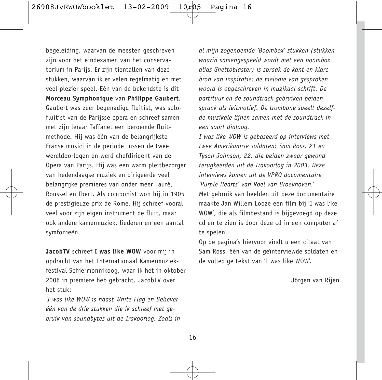begeleiding, waarvan de meesten geschreven zijn voor het eindexamen van het conservatorium in Parijs. Er zijn tientallen van deze stukken, waarvan ik er velen regelmatig en met veel plezier speel. Eén van de bekendste is dit **Morceau Symphonique** van **Philippe Gaubert**. Gaubert was zeer begenadigd fluitist, was solofluitist van de Parijsse opera en schreef samen met zijn leraar Taffanet een beroemde fluitmethode. Hij was één van de belangrijkste Franse musici in de periode tussen de twee wereldoorlogen en werd chefdirigent van de Opera van Parijs. Hij was een warm pleitbezorger van hedendaagse muziek en dirigeerde veel belangrijke premieres van onder meer Fauré, Roussel en Ibert. Als componist won hij in 1905 de prestigieuze prix de Rome. Hij schreef vooral veel voor zijn eigen instrument de fluit, maar ook andere kamermuziek, liederen en een aantal symfonieën.

**JacobTV** schreef **I was like WOW** voor mij in opdracht van het Internationaal Kamermuziekfestival Schiermonnikoog, waar ik het in oktober 2006 in premiere heb gebracht. JacobTV over het stuk:

*'I was like WOW is naast White Flag en Believer één van de drie stukken die ik schreef met gebruik van soundbytes uit de Irakoorlog. Zoals in* *al mijn zogenoemde 'Boombox' stukken (stukken waarin samengespeeld wordt met een boombox alias Ghettoblaster) is spraak de kant-en-klare bron van inspiratie: de melodie van gesproken woord is opgeschreven in muzikaal schrift. De partituur en de soundtrack gebruiken beiden spraak als leitmotief. De trombone speelt dezelfde muzikale lijnen samen met de soundtrack in een soort dialoog.* 

*I was like WOW is gebaseerd op interviews met twee Amerikaanse soldaten: Sam Ross, 21 en Tyson Johnson, 22, die beiden zwaar gewond terugkeerden uit de Irakoorlog in 2003. Deze interviews komen uit de VPRO documentaire 'Purple Hearts' van Roel van Broekhoven.'*  Met gebruik van beelden uit deze documentaire maakte Jan Willem Looze een film bij 'I was like WOW', die als filmbestand is bijgevoegd op deze cd en te zien is door deze cd in een computer af te spelen.

Op de pagina's hiervoor vindt u een citaat van Sam Ross, één van de geïnterviewde soldaten en de volledige tekst van 'I was like WOW'.

Jörgen van Rijen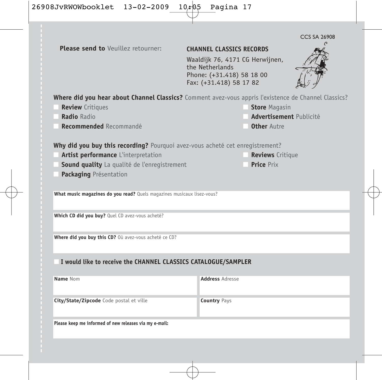CCS SA 26908

| <b>d to</b> Veuillez retourner: | <b>CHANNEL CLASSICS RECORDS</b> |
|---------------------------------|---------------------------------|

Waaldijk 76, 4171 CG Herwijnen, the Netherlands Phone: (+31.418) 58 18 00 Fax: (+31.418) 58 17 82

**Where did you hear about Channel Classics?** Comment avez-vous appris l'existence de Channel Classics?

- **Review** Critiques **Store** Magasin
- 
- **Recommended** Recommandé **Other** Autre

Why did vou buy this recording? Pourquoi avez-vous acheté cet enregistrement?

- **Artist performance** L'interpretation **Reviews** Critique
- **Sound quality** La qualité de l'enregistrement **Price** Prix
- **Packaging Présentation**

What music magazines do you read? Quels magazines musicaux lisez-vous?

Which CD did vou buy? Quel CD avez-vous acheté?

**Where did you buy this CD?** Où avez-vous acheté ce CD?

I would like to receive the CHANNEL CLASSICS CATALOGUE/SAMPLER

| Name Nom                                               | <b>Address Adresse</b> |
|--------------------------------------------------------|------------------------|
| City/State/Zipcode Code postal et ville                | <b>Country Pays</b>    |
| Please keep me informed of new releases via my e-mail: |                        |

■ **Radio** Radio ■ **Advertisement** Publicité

**Please send**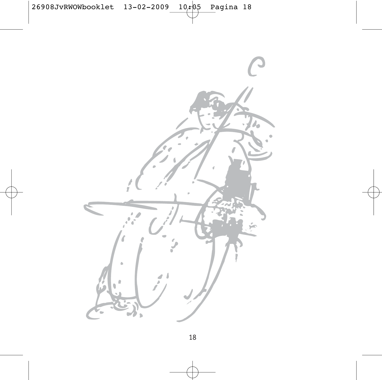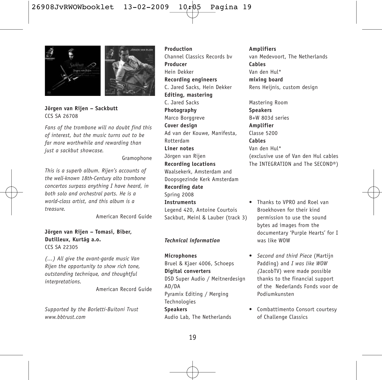

**Jörgen van Rijen – Sackbutt** CCS SA 26708

*Fans of the trombone will no doubt find this of interest, but the music turns out to be far more worthwhile and rewarding than just a sackbut showcase.* 

#### Gramophone

*This is a superb album. Rijen's accounts of the well-known 18th-Century alto trombone concertos surpass anything I have heard, in both solo and orchestral parts. He is a world-class artist, and this album is a treasure.*

American Record Guide

**Jörgen van Rijen – Tomasi, Biber, Dutilleux, Kurtág a.o.** CCS SA 22305

*(...) All give the avant-garde music Van Rijen the opportunity to show rich tone, outstanding technique, and thoughtful interpretations.* 

American Record Guide

*Supported by the Borletti-Buitoni Trust www.bbtrust.com*

**Production** Channel Classics Records bv **Producer**  Hein Dekker **Recording engineers**  C. Jared Sacks, Hein Dekker **Editing, mastering** C. Jared Sacks **Photography** Marco Borggreve **Cover design** Ad van der Kouwe, Manifesta, Rotterdam **Liner notes** Jörgen van Rijen **Recording locations** Waalsekerk, Amsterdam and Doopsgezinde Kerk Amsterdam **Recording date** Spring 2008 **Instruments** Legend 420, Antoine Courtois Sackbut, Meinl & Lauber (track 3)

*Technical information*

**Microphones**  Bruel & Kjaer 4006, Schoeps **Digital converters** DSD Super Audio / Meitnerdesign AD/DA Pyramix Editing / Merging **Technologies Speakers** Audio Lab, The Netherlands

**Amplifiers** van Medevoort, The Netherlands **Cables** Van den Hul\* **mixing board** Rens Heijnis, custom design

Mastering Room **Speakers** B+W 803d series **Amplifier** Classe 5200 **Cables** Van den Hul\* (exclusive use of Van den Hul cables The INTEGRATION and The SECOND®)

- Thanks to VPRO and Roel van Broekhoven for their kind permission to use the sound bytes ad images from the documentary 'Purple Hearts' for I was like WOW
- *Second and third Piece* (Martijn Padding) and *I was like WOW (*JacobTV) were made possible thanks to the financial support of the Nederlands Fonds voor de Podiumkunsten
- Combattimento Consort courtesy of Challenge Classics